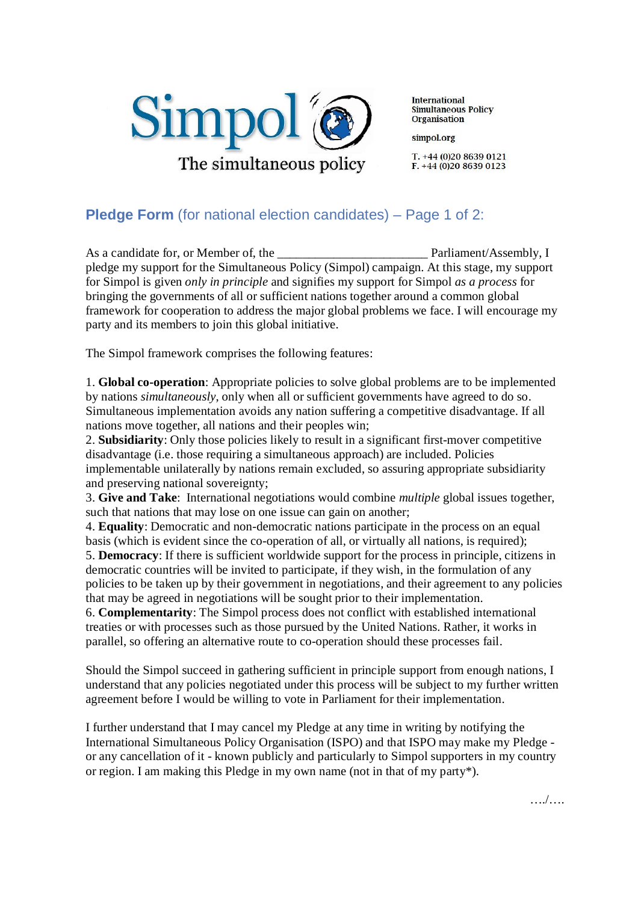

**International** Simultaneous Policy **Organisation** 

simpol.org

 $T. +44(0)2086390121$  $F. +44(0)2086390123$ 

## **Pledge Form** (for national election candidates) – Page 1 of 2:

As a candidate for, or Member of, the example and a parliament/Assembly, I pledge my support for the Simultaneous Policy (Simpol) campaign. At this stage, my support for Simpol is given *only in principle* and signifies my support for Simpol *as a process* for bringing the governments of all or sufficient nations together around a common global framework for cooperation to address the major global problems we face. I will encourage my party and its members to join this global initiative.

The Simpol framework comprises the following features:

1. **Global co-operation**: Appropriate policies to solve global problems are to be implemented by nations *simultaneously*, only when all or sufficient governments have agreed to do so. Simultaneous implementation avoids any nation suffering a competitive disadvantage. If all nations move together, all nations and their peoples win;

2. **Subsidiarity**: Only those policies likely to result in a significant first-mover competitive disadvantage (i.e. those requiring a simultaneous approach) are included. Policies implementable unilaterally by nations remain excluded, so assuring appropriate subsidiarity and preserving national sovereignty;

3. **Give and Take**: International negotiations would combine *multiple* global issues together, such that nations that may lose on one issue can gain on another;

4. **Equality**: Democratic and non-democratic nations participate in the process on an equal basis (which is evident since the co-operation of all, or virtually all nations, is required);

5. **Democracy**: If there is sufficient worldwide support for the process in principle, citizens in democratic countries will be invited to participate, if they wish, in the formulation of any policies to be taken up by their government in negotiations, and their agreement to any policies that may be agreed in negotiations will be sought prior to their implementation.

6. **Complementarity**: The Simpol process does not conflict with established international treaties or with processes such as those pursued by the United Nations. Rather, it works in parallel, so offering an alternative route to co-operation should these processes fail.

Should the Simpol succeed in gathering sufficient in principle support from enough nations, I understand that any policies negotiated under this process will be subject to my further written agreement before I would be willing to vote in Parliament for their implementation.

I further understand that I may cancel my Pledge at any time in writing by notifying the International Simultaneous Policy Organisation (ISPO) and that ISPO may make my Pledge or any cancellation of it - known publicly and particularly to Simpol supporters in my country or region. I am making this Pledge in my own name (not in that of my party\*).

…./….